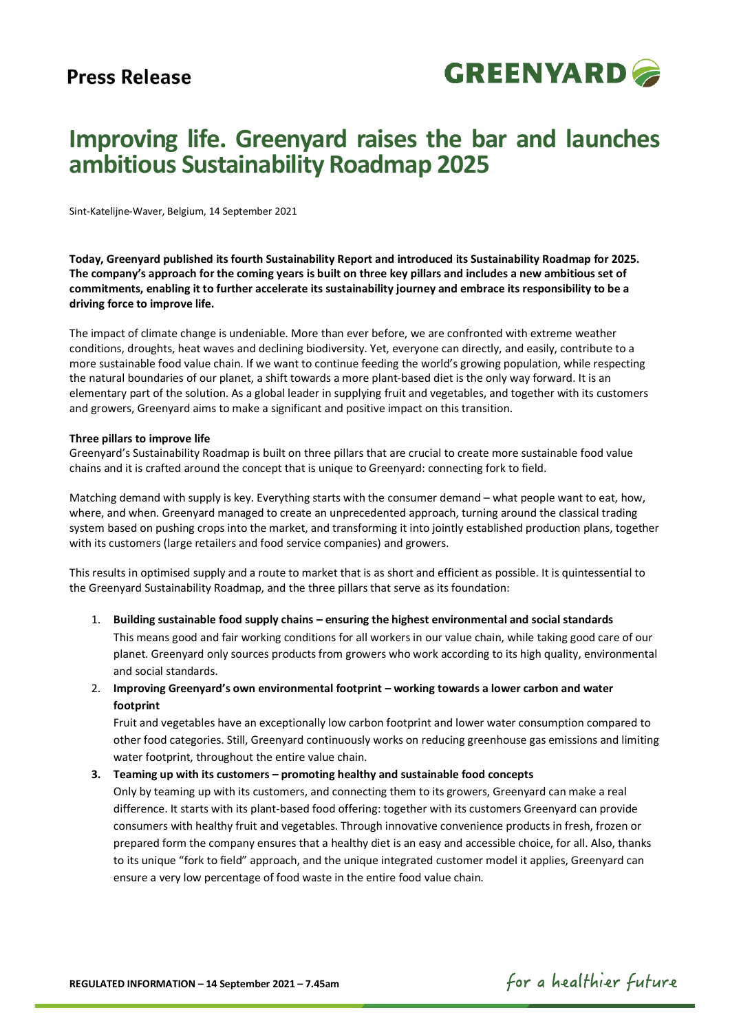

# **Improving life. Greenyard raises the bar and launches ambitious Sustainability Roadmap 2025**

Sint-Katelijne-Waver, Belgium, 14 September 2021

**Today, Greenyard published its fourth Sustainability Report and introduced its Sustainability Roadmap for 2025. The company's approach for the coming years is built on three key pillars and includes a new ambitious set of commitments, enabling it to further accelerate its sustainability journey and embrace its responsibility to be a driving force to improve life.**

The impact of climate change is undeniable. More than ever before, we are confronted with extreme weather conditions, droughts, heat waves and declining biodiversity. Yet, everyone can directly, and easily, contribute to a more sustainable food value chain. If we want to continue feeding the world's growing population, while respecting the natural boundaries of our planet, a shift towards a more plant-based diet is the only way forward. It is an elementary part of the solution. As a global leader in supplying fruit and vegetables, and together with its customers and growers, Greenyard aims to make a significant and positive impact on this transition.

#### **Three pillars to improve life**

Greenyard's Sustainability Roadmap is built on three pillars that are crucial to create more sustainable food value chains and it is crafted around the concept that is unique to Greenyard: connecting fork to field.

Matching demand with supply is key. Everything starts with the consumer demand – what people want to eat, how, where, and when. Greenyard managed to create an unprecedented approach, turning around the classical trading system based on pushing crops into the market, and transforming it into jointly established production plans, together with its customers (large retailers and food service companies) and growers.

This results in optimised supply and a route to market that is as short and efficient as possible. It is quintessential to the Greenyard Sustainability Roadmap, and the three pillars that serve as its foundation:

1. **Building sustainable food supply chains – ensuring the highest environmental and social standards** This means good and fair working conditions for all workers in our value chain, while taking good care of our planet. Greenyard only sources products from growers who work according to its high quality, environmental and social standards.

# 2. **Improving Greenyard's own environmental footprint – working towards a lower carbon and water footprint**

Fruit and vegetables have an exceptionally low carbon footprint and lower water consumption compared to other food categories. Still, Greenyard continuously works on reducing greenhouse gas emissions and limiting water footprint, throughout the entire value chain.

#### **3. Teaming up with its customers – promoting healthy and sustainable food concepts**

Only by teaming up with its customers, and connecting them to its growers, Greenyard can make a real difference. It starts with its plant-based food offering: together with its customers Greenyard can provide consumers with healthy fruit and vegetables. Through innovative convenience products in fresh, frozen or prepared form the company ensures that a healthy diet is an easy and accessible choice, for all. Also, thanks to its unique "fork to field" approach, and the unique integrated customer model it applies, Greenyard can ensure a very low percentage of food waste in the entire food value chain.

# for a healthier future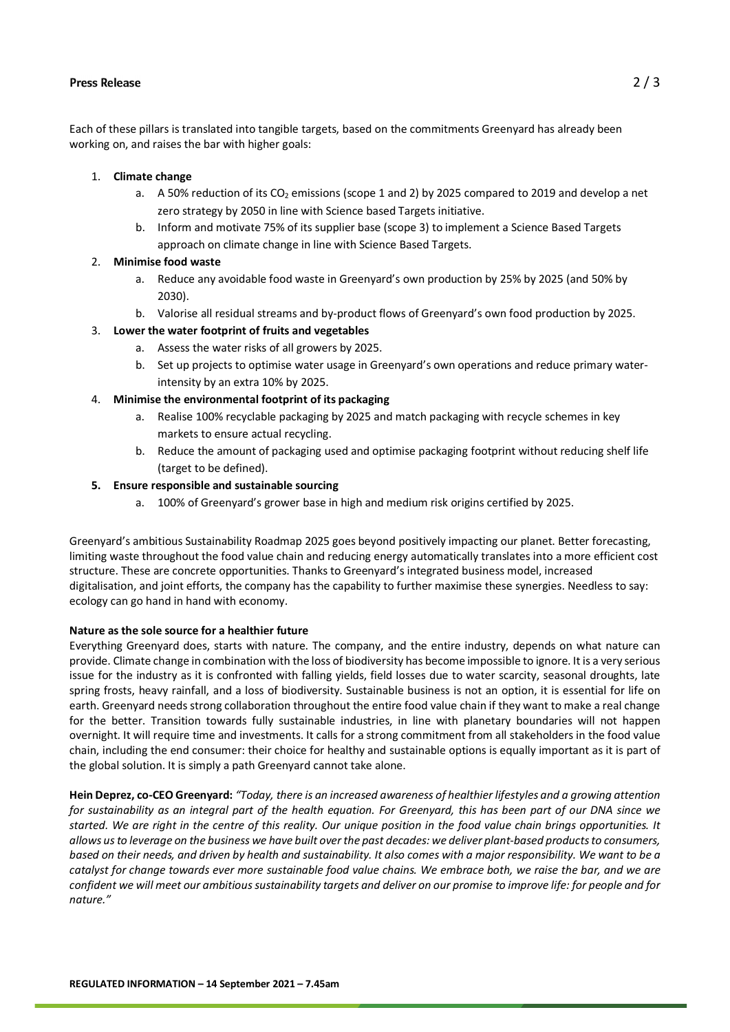Each of these pillars is translated into tangible targets, based on the commitments Greenyard has already been working on, and raises the bar with higher goals:

#### 1. **Climate change**

- a. A 50% reduction of its CO<sub>2</sub> emissions (scope 1 and 2) by 2025 compared to 2019 and develop a net zero strategy by 2050 in line with Science based Targets initiative.
- b. Inform and motivate 75% of its supplier base (scope 3) to implement a Science Based Targets approach on climate change in line with Science Based Targets.

## 2. **Minimise food waste**

- a. Reduce any avoidable food waste in Greenyard's own production by 25% by 2025 (and 50% by 2030).
- b. Valorise all residual streams and by-product flows of Greenyard's own food production by 2025.

## 3. **Lower the water footprint of fruits and vegetables**

- a. Assess the water risks of all growers by 2025.
- b. Set up projects to optimise water usage in Greenyard's own operations and reduce primary waterintensity by an extra 10% by 2025.

## 4. **Minimise the environmental footprint of its packaging**

- a. Realise 100% recyclable packaging by 2025 and match packaging with recycle schemes in key markets to ensure actual recycling.
- b. Reduce the amount of packaging used and optimise packaging footprint without reducing shelf life (target to be defined).

## **5. Ensure responsible and sustainable sourcing**

a. 100% of Greenyard's grower base in high and medium risk origins certified by 2025.

Greenyard's ambitious Sustainability Roadmap 2025 goes beyond positively impacting our planet. Better forecasting, limiting waste throughout the food value chain and reducing energy automatically translates into a more efficient cost structure. These are concrete opportunities. Thanks to Greenyard's integrated business model, increased digitalisation, and joint efforts, the company has the capability to further maximise these synergies. Needless to say: ecology can go hand in hand with economy.

#### **Nature as the sole source for a healthier future**

Everything Greenyard does, starts with nature. The company, and the entire industry, depends on what nature can provide. Climate change in combination with the loss of biodiversity has become impossible to ignore. It is a very serious issue for the industry as it is confronted with falling yields, field losses due to water scarcity, seasonal droughts, late spring frosts, heavy rainfall, and a loss of biodiversity. Sustainable business is not an option, it is essential for life on earth. Greenyard needs strong collaboration throughout the entire food value chain if they want to make a real change for the better. Transition towards fully sustainable industries, in line with planetary boundaries will not happen overnight. It will require time and investments. It calls for a strong commitment from all stakeholders in the food value chain, including the end consumer: their choice for healthy and sustainable options is equally important as it is part of the global solution. It is simply a path Greenyard cannot take alone.

**Hein Deprez, co-CEO Greenyard:** *"Today, there is an increased awareness of healthier lifestyles and a growing attention for sustainability as an integral part of the health equation. For Greenyard, this has been part of our DNA since we started. We are right in the centre of this reality. Our unique position in the food value chain brings opportunities. It allows us to leverage on the business we have built over the past decades: we deliver plant-based products to consumers, based on their needs, and driven by health and sustainability. It also comes with a major responsibility. We want to be a catalyst for change towards ever more sustainable food value chains. We embrace both, we raise the bar, and we are confident we will meet our ambitious sustainability targets and deliver on our promise to improve life: for people and for nature."*